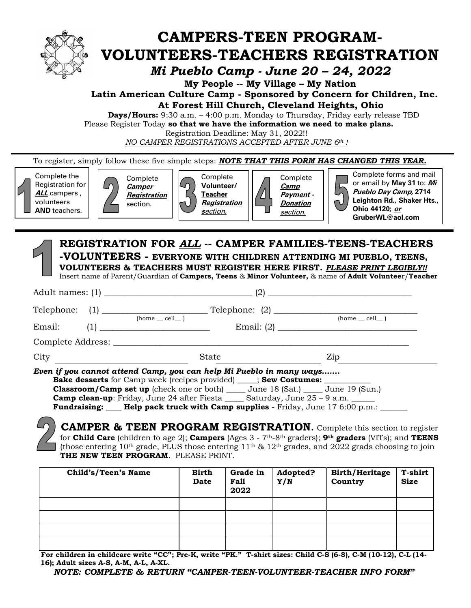

# **CAMPERS-TEEN PROGRAM-VOLUNTEERS-TEACHERS REGISTRATION**

*Mi Pueblo Camp - June 20 – 24, 2022*

**My People -- My Village – My Nation**

 **Latin American Culture Camp - Sponsored by Concern for Children, Inc. At Forest Hill Church, Cleveland Heights, Ohio**

 **Days/Hours:** 9:30 a.m. – 4:00 p.m. Monday to Thursday, Friday early release TBD Please Register Today **so that we have the information we need to make plans.**

Registration Deadline: May 31, 2022!! *NO CAMPER REGISTRATIONS ACCEPTED AFTER JUNE 6th !*

To register, simply follow these five simple steps: *NOTE THAT THIS FORM HAS CHANGED THIS YEAR.*

Complete the Registration for **ALL** campers , volunteers **AND** teachers.

Complete **Camper Registration** section.



**Volunteer/ Registration s**ection**.**

Complete **Camp Payment - Donation**  section.

Complete forms and mail or email by **May 31** to: **Mi Pueblo Day Camp, 2714 Leighton Rd., Shaker Hts.,** 

**Ohio 44120; or**

**GruberWL@aol.com**

## **REGISTRATION FOR** *ALL* **-- CAMPER FAMILIES-TEENS-TEACHERS -VOLUNTEERS - EVERYONE WITH CHILDREN ATTENDING MI PUEBLO, TEENS, VOLUNTEERS & TEACHERS MUST REGISTER HERE FIRST.** *PLEASE PRINT LEGIBLY!!*

Insert name of Parent/Guardian of **Campers, Teens** & **Minor Volunteer,** & name of **Adult Voluntee**r/**Teacher**

|        |                      | Even if you cannot attend Camp, you can help Mi Pueblo in many ways<br><b>Bake desserts</b> for Camp week (recipes provided) ____; <b>Sew Costumes:</b> ________<br><b>Classroom/Camp set up</b> (check one or both) ______ June 18 (Sat.) ______ June 19 (Sun.) |                  |
|--------|----------------------|------------------------------------------------------------------------------------------------------------------------------------------------------------------------------------------------------------------------------------------------------------------|------------------|
| City   |                      | State                                                                                                                                                                                                                                                            | Zip              |
|        |                      |                                                                                                                                                                                                                                                                  |                  |
| Email: |                      |                                                                                                                                                                                                                                                                  |                  |
|        | $(home \_ cell \_ )$ |                                                                                                                                                                                                                                                                  | $(home$ $cell$ ) |
|        |                      |                                                                                                                                                                                                                                                                  |                  |

**Camp clean-up**: Friday, June 24 after Fiesta \_\_\_\_\_\_ Saturday, June 25 – 9 a.m. **Fundraising: Help pack truck with Camp supplies** - Friday, June 17 6:00 p.m.: \_\_\_\_\_\_

**CAMPER & TEEN PROGRAM REGISTRATION.** Complete this section to register for **Child Care** (children to age 2); **Campers** (Ages 3 - 7th-8th graders); **9th graders** (VITs); and **TEENS** (those entering 10<sup>th</sup> grade, PLUS those entering  $11<sup>th</sup>$  &  $12<sup>th</sup>$  grades, and 2022 grads choosing to join **THE NEW TEEN PROGRAM**. PLEASE PRINT.

| Child's/Teen's Name | <b>Birth</b><br><b>Date</b> | Grade in<br><b>Fall</b><br>2022 | Adopted?<br>Y/N | <b>Birth/Heritage</b><br>Country | <b>T-shirt</b><br><b>Size</b> |
|---------------------|-----------------------------|---------------------------------|-----------------|----------------------------------|-------------------------------|
|                     |                             |                                 |                 |                                  |                               |
|                     |                             |                                 |                 |                                  |                               |
|                     |                             |                                 |                 |                                  |                               |
|                     |                             |                                 |                 |                                  |                               |

 **For children in childcare write "CC"; Pre-K, write "PK." T-shirt sizes: Child C-S (6-8), C-M (10-12), C-L (14- 16); Adult sizes A-S, A-M, A-L, A-XL.**

 *NOTE: COMPLETE & RETURN "CAMPER-TEEN-VOLUNTEER-TEACHER INFO FORM"*